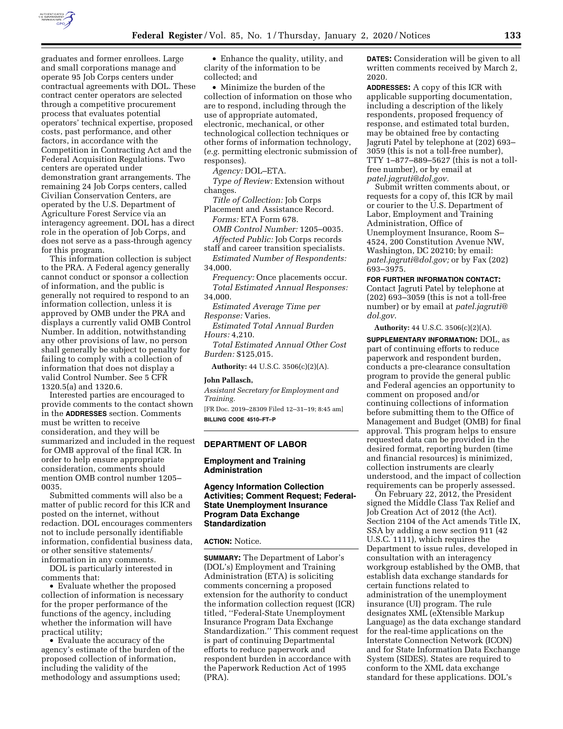

graduates and former enrollees. Large and small corporations manage and operate 95 Job Corps centers under contractual agreements with DOL. These contract center operators are selected through a competitive procurement process that evaluates potential operators' technical expertise, proposed costs, past performance, and other factors, in accordance with the Competition in Contracting Act and the Federal Acquisition Regulations. Two centers are operated under demonstration grant arrangements. The remaining 24 Job Corps centers, called Civilian Conservation Centers, are operated by the U.S. Department of Agriculture Forest Service via an interagency agreement. DOL has a direct role in the operation of Job Corps, and does not serve as a pass-through agency for this program.

This information collection is subject to the PRA. A Federal agency generally cannot conduct or sponsor a collection of information, and the public is generally not required to respond to an information collection, unless it is approved by OMB under the PRA and displays a currently valid OMB Control Number. In addition, notwithstanding any other provisions of law, no person shall generally be subject to penalty for failing to comply with a collection of information that does not display a valid Control Number. See 5 CFR 1320.5(a) and 1320.6.

Interested parties are encouraged to provide comments to the contact shown in the **ADDRESSES** section. Comments must be written to receive consideration, and they will be summarized and included in the request for OMB approval of the final ICR. In order to help ensure appropriate consideration, comments should mention OMB control number 1205– 0035.

Submitted comments will also be a matter of public record for this ICR and posted on the internet, without redaction. DOL encourages commenters not to include personally identifiable information, confidential business data, or other sensitive statements/ information in any comments.

DOL is particularly interested in comments that:

• Evaluate whether the proposed collection of information is necessary for the proper performance of the functions of the agency, including whether the information will have practical utility;

• Evaluate the accuracy of the agency's estimate of the burden of the proposed collection of information, including the validity of the methodology and assumptions used;

• Enhance the quality, utility, and clarity of the information to be collected; and

• Minimize the burden of the collection of information on those who are to respond, including through the use of appropriate automated, electronic, mechanical, or other technological collection techniques or other forms of information technology, (*e.g.* permitting electronic submission of responses).

*Agency:* DOL–ETA.

*Type of Review:* Extension without changes.

*Title of Collection:* Job Corps Placement and Assistance Record. *Forms:* ETA Form 678.

*OMB Control Number:* 1205–0035.

*Affected Public:* Job Corps records staff and career transition specialists.

*Estimated Number of Respondents:*  34,000.

*Frequency:* Once placements occur. *Total Estimated Annual Responses:*  34,000.

*Estimated Average Time per Response:* Varies.

*Estimated Total Annual Burden Hours:* 4,210.

*Total Estimated Annual Other Cost Burden:* \$125,015.

**Authority:** 44 U.S.C. 3506(c)(2)(A).

### **John Pallasch,**

*Assistant Secretary for Employment and Training.* 

[FR Doc. 2019–28309 Filed 12–31–19; 8:45 am] **BILLING CODE 4510–FT–P** 

# **DEPARTMENT OF LABOR**

### **Employment and Training Administration**

# **Agency Information Collection Activities; Comment Request; Federal-State Unemployment Insurance Program Data Exchange Standardization**

### **ACTION:** Notice.

**SUMMARY:** The Department of Labor's (DOL's) Employment and Training Administration (ETA) is soliciting comments concerning a proposed extension for the authority to conduct the information collection request (ICR) titled, ''Federal-State Unemployment Insurance Program Data Exchange Standardization.'' This comment request is part of continuing Departmental efforts to reduce paperwork and respondent burden in accordance with the Paperwork Reduction Act of 1995 (PRA).

**DATES:** Consideration will be given to all written comments received by March 2, 2020.

**ADDRESSES:** A copy of this ICR with applicable supporting documentation, including a description of the likely respondents, proposed frequency of response, and estimated total burden, may be obtained free by contacting Jagruti Patel by telephone at (202) 693– 3059 (this is not a toll-free number), TTY 1–877–889–5627 (this is not a tollfree number), or by email at *[patel.jagruti@dol.gov.](mailto:patel.jagruti@dol.gov)* 

Submit written comments about, or requests for a copy of, this ICR by mail or courier to the U.S. Department of Labor, Employment and Training Administration, Office of Unemployment Insurance, Room S– 4524, 200 Constitution Avenue NW, Washington, DC 20210; by email: *[patel.jagruti@dol.gov;](mailto:patel.jagruti@dol.gov)* or by Fax (202) 693–3975.

**FOR FURTHER INFORMATION CONTACT:**  Contact Jagruti Patel by telephone at (202) 693–3059 (this is not a toll-free number) or by email at *[patel.jagruti@](mailto:patel.jagruti@dol.gov) [dol.gov](mailto:patel.jagruti@dol.gov)*.

**Authority:** 44 U.S.C. 3506(c)(2)(A).

**SUPPLEMENTARY INFORMATION:** DOL, as part of continuing efforts to reduce paperwork and respondent burden, conducts a pre-clearance consultation program to provide the general public and Federal agencies an opportunity to comment on proposed and/or continuing collections of information before submitting them to the Office of Management and Budget (OMB) for final approval. This program helps to ensure requested data can be provided in the desired format, reporting burden (time and financial resources) is minimized, collection instruments are clearly understood, and the impact of collection requirements can be properly assessed.

On February 22, 2012, the President signed the Middle Class Tax Relief and Job Creation Act of 2012 (the Act). Section 2104 of the Act amends Title IX, SSA by adding a new section 911 (42 U.S.C. 1111), which requires the Department to issue rules, developed in consultation with an interagency workgroup established by the OMB, that establish data exchange standards for certain functions related to administration of the unemployment insurance (UI) program. The rule designates XML (eXtensible Markup Language) as the data exchange standard for the real-time applications on the Interstate Connection Network (ICON) and for State Information Data Exchange System (SIDES). States are required to conform to the XML data exchange standard for these applications. DOL's